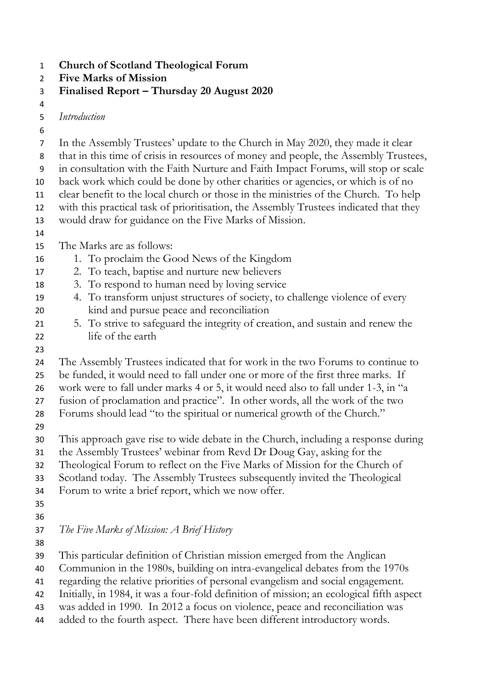**Church of Scotland Theological Forum**

- **Five Marks of Mission**
- **Finalised Report – Thursday 20 August 2020**

*Introduction*

- In the Assembly Trustees' update to the Church in May 2020, they made it clear that in this time of crisis in resources of money and people, the Assembly Trustees, in consultation with the Faith Nurture and Faith Impact Forums, will stop or scale back work which could be done by other charities or agencies, or which is of no clear benefit to the local church or those in the ministries of the Church. To help with this practical task of prioritisation, the Assembly Trustees indicated that they would draw for guidance on the Five Marks of Mission. The Marks are as follows: 1. To proclaim the Good News of the Kingdom 2. To teach, baptise and nurture new believers 3. To respond to human need by loving service 4. To transform unjust structures of society, to challenge violence of every kind and pursue peace and reconciliation 5. To strive to safeguard the integrity of creation, and sustain and renew the life of the earth The Assembly Trustees indicated that for work in the two Forums to continue to be funded, it would need to fall under one or more of the first three marks. If work were to fall under marks 4 or 5, it would need also to fall under 1-3, in "a fusion of proclamation and practice". In other words, all the work of the two Forums should lead "to the spiritual or numerical growth of the Church." This approach gave rise to wide debate in the Church, including a response during the Assembly Trustees' webinar from Revd Dr Doug Gay, asking for the Theological Forum to reflect on the Five Marks of Mission for the Church of Scotland today. The Assembly Trustees subsequently invited the Theological Forum to write a brief report, which we now offer. *The Five Marks of Mission: A Brief History* This particular definition of Christian mission emerged from the Anglican Communion in the 1980s, building on intra-evangelical debates from the 1970s regarding the relative priorities of personal evangelism and social engagement. Initially, in 1984, it was a four-fold definition of mission; an ecological fifth aspect
- was added in 1990. In 2012 a focus on violence, peace and reconciliation was added to the fourth aspect. There have been different introductory words.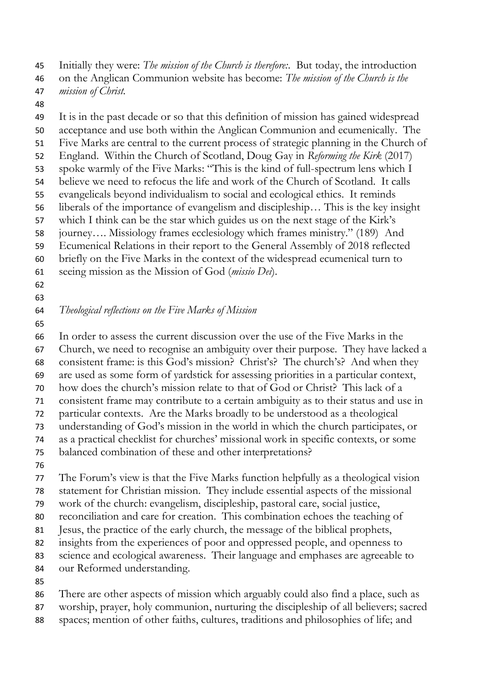Initially they were: *The mission of the Church is therefore:*. But today, the introduction

- on the Anglican Communion website has become: *The mission of the Church is the mission of Christ.*
- 

 It is in the past decade or so that this definition of mission has gained widespread acceptance and use both within the Anglican Communion and ecumenically. The Five Marks are central to the current process of strategic planning in the Church of England. Within the Church of Scotland, Doug Gay in *Reforming the Kirk* (2017) spoke warmly of the Five Marks: "This is the kind of full-spectrum lens which I believe we need to refocus the life and work of the Church of Scotland. It calls evangelicals beyond individualism to social and ecological ethics. It reminds liberals of the importance of evangelism and discipleship… This is the key insight which I think can be the star which guides us on the next stage of the Kirk's journey…. Missiology frames ecclesiology which frames ministry." (189) And Ecumenical Relations in their report to the General Assembly of 2018 reflected briefly on the Five Marks in the context of the widespread ecumenical turn to seeing mission as the Mission of God (*missio Dei*).

- 
- 

## *Theological reflections on the Five Marks of Mission*

 In order to assess the current discussion over the use of the Five Marks in the Church, we need to recognise an ambiguity over their purpose. They have lacked a consistent frame: is this God's mission? Christ's? The church's? And when they are used as some form of yardstick for assessing priorities in a particular context, how does the church's mission relate to that of God or Christ? This lack of a consistent frame may contribute to a certain ambiguity as to their status and use in particular contexts. Are the Marks broadly to be understood as a theological understanding of God's mission in the world in which the church participates, or as a practical checklist for churches' missional work in specific contexts, or some balanced combination of these and other interpretations? 

 The Forum's view is that the Five Marks function helpfully as a theological vision statement for Christian mission. They include essential aspects of the missional work of the church: evangelism, discipleship, pastoral care, social justice,

- reconciliation and care for creation. This combination echoes the teaching of
- Jesus, the practice of the early church, the message of the biblical prophets,
- insights from the experiences of poor and oppressed people, and openness to
- science and ecological awareness. Their language and emphases are agreeable to
- our Reformed understanding.
- 

 There are other aspects of mission which arguably could also find a place, such as worship, prayer, holy communion, nurturing the discipleship of all believers; sacred

spaces; mention of other faiths, cultures, traditions and philosophies of life; and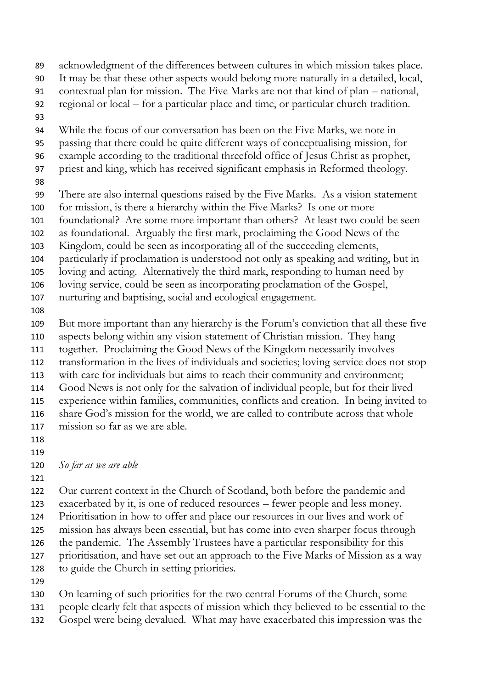acknowledgment of the differences between cultures in which mission takes place. It may be that these other aspects would belong more naturally in a detailed, local, contextual plan for mission. The Five Marks are not that kind of plan – national, regional or local – for a particular place and time, or particular church tradition. While the focus of our conversation has been on the Five Marks, we note in passing that there could be quite different ways of conceptualising mission, for example according to the traditional threefold office of Jesus Christ as prophet, priest and king, which has received significant emphasis in Reformed theology. There are also internal questions raised by the Five Marks. As a vision statement for mission, is there a hierarchy within the Five Marks? Is one or more foundational? Are some more important than others? At least two could be seen as foundational. Arguably the first mark, proclaiming the Good News of the Kingdom, could be seen as incorporating all of the succeeding elements, particularly if proclamation is understood not only as speaking and writing, but in loving and acting. Alternatively the third mark, responding to human need by loving service, could be seen as incorporating proclamation of the Gospel, nurturing and baptising, social and ecological engagement. But more important than any hierarchy is the Forum's conviction that all these five aspects belong within any vision statement of Christian mission. They hang together. Proclaiming the Good News of the Kingdom necessarily involves transformation in the lives of individuals and societies; loving service does not stop with care for individuals but aims to reach their community and environment; Good News is not only for the salvation of individual people, but for their lived experience within families, communities, conflicts and creation. In being invited to share God's mission for the world, we are called to contribute across that whole mission so far as we are able. *So far as we are able* 

 Our current context in the Church of Scotland, both before the pandemic and exacerbated by it, is one of reduced resources – fewer people and less money. Prioritisation in how to offer and place our resources in our lives and work of mission has always been essential, but has come into even sharper focus through the pandemic. The Assembly Trustees have a particular responsibility for this prioritisation, and have set out an approach to the Five Marks of Mission as a way to guide the Church in setting priorities.

 On learning of such priorities for the two central Forums of the Church, some people clearly felt that aspects of mission which they believed to be essential to the Gospel were being devalued. What may have exacerbated this impression was the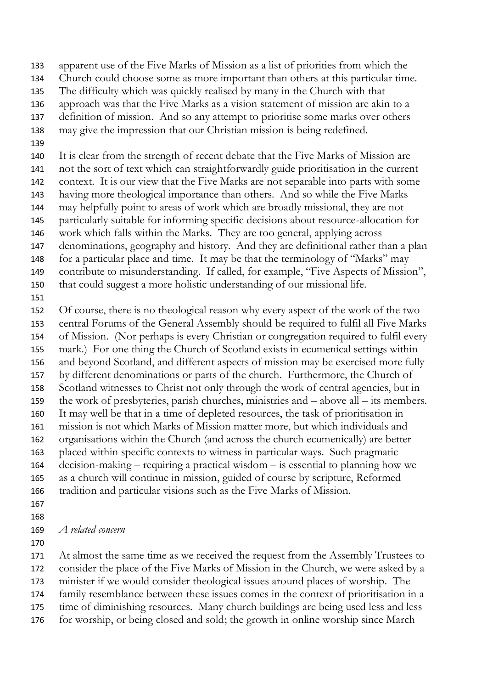apparent use of the Five Marks of Mission as a list of priorities from which the

- Church could choose some as more important than others at this particular time.
- The difficulty which was quickly realised by many in the Church with that
- approach was that the Five Marks as a vision statement of mission are akin to a
- definition of mission. And so any attempt to prioritise some marks over others
- may give the impression that our Christian mission is being redefined.
- 

 It is clear from the strength of recent debate that the Five Marks of Mission are not the sort of text which can straightforwardly guide prioritisation in the current context. It is our view that the Five Marks are not separable into parts with some having more theological importance than others. And so while the Five Marks may helpfully point to areas of work which are broadly missional, they are not particularly suitable for informing specific decisions about resource-allocation for work which falls within the Marks. They are too general, applying across denominations, geography and history. And they are definitional rather than a plan for a particular place and time. It may be that the terminology of "Marks" may contribute to misunderstanding. If called, for example, "Five Aspects of Mission", that could suggest a more holistic understanding of our missional life.

 Of course, there is no theological reason why every aspect of the work of the two central Forums of the General Assembly should be required to fulfil all Five Marks of Mission. (Nor perhaps is every Christian or congregation required to fulfil every mark.) For one thing the Church of Scotland exists in ecumenical settings within and beyond Scotland, and different aspects of mission may be exercised more fully by different denominations or parts of the church. Furthermore, the Church of Scotland witnesses to Christ not only through the work of central agencies, but in the work of presbyteries, parish churches, ministries and – above all – its members. It may well be that in a time of depleted resources, the task of prioritisation in mission is not which Marks of Mission matter more, but which individuals and organisations within the Church (and across the church ecumenically) are better placed within specific contexts to witness in particular ways. Such pragmatic decision-making – requiring a practical wisdom – is essential to planning how we as a church will continue in mission, guided of course by scripture, Reformed tradition and particular visions such as the Five Marks of Mission. 

*A related concern*

 At almost the same time as we received the request from the Assembly Trustees to consider the place of the Five Marks of Mission in the Church, we were asked by a minister if we would consider theological issues around places of worship. The family resemblance between these issues comes in the context of prioritisation in a time of diminishing resources. Many church buildings are being used less and less for worship, or being closed and sold; the growth in online worship since March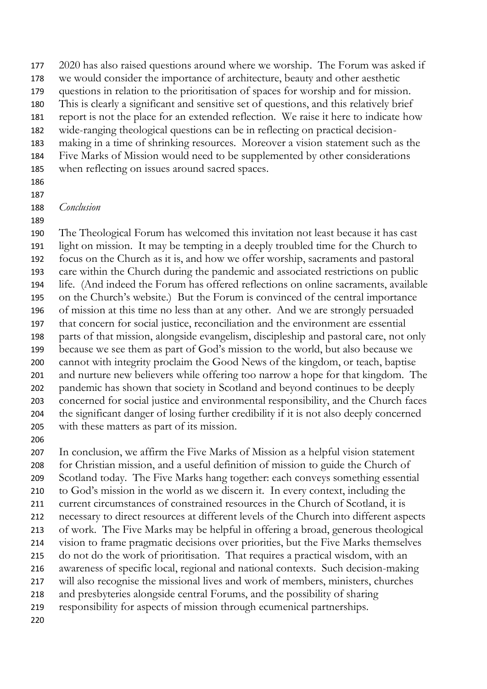2020 has also raised questions around where we worship. The Forum was asked if we would consider the importance of architecture, beauty and other aesthetic questions in relation to the prioritisation of spaces for worship and for mission. This is clearly a significant and sensitive set of questions, and this relatively brief report is not the place for an extended reflection. We raise it here to indicate how wide-ranging theological questions can be in reflecting on practical decision- making in a time of shrinking resources. Moreover a vision statement such as the Five Marks of Mission would need to be supplemented by other considerations when reflecting on issues around sacred spaces.

 

## *Conclusion*

 The Theological Forum has welcomed this invitation not least because it has cast light on mission. It may be tempting in a deeply troubled time for the Church to focus on the Church as it is, and how we offer worship, sacraments and pastoral care within the Church during the pandemic and associated restrictions on public life. (And indeed the Forum has offered reflections on online sacraments, available on the Church's website.) But the Forum is convinced of the central importance of mission at this time no less than at any other. And we are strongly persuaded that concern for social justice, reconciliation and the environment are essential parts of that mission, alongside evangelism, discipleship and pastoral care, not only because we see them as part of God's mission to the world, but also because we cannot with integrity proclaim the Good News of the kingdom, or teach, baptise and nurture new believers while offering too narrow a hope for that kingdom. The pandemic has shown that society in Scotland and beyond continues to be deeply concerned for social justice and environmental responsibility, and the Church faces the significant danger of losing further credibility if it is not also deeply concerned with these matters as part of its mission.

 In conclusion, we affirm the Five Marks of Mission as a helpful vision statement for Christian mission, and a useful definition of mission to guide the Church of Scotland today. The Five Marks hang together: each conveys something essential to God's mission in the world as we discern it. In every context, including the current circumstances of constrained resources in the Church of Scotland, it is necessary to direct resources at different levels of the Church into different aspects of work. The Five Marks may be helpful in offering a broad, generous theological vision to frame pragmatic decisions over priorities, but the Five Marks themselves do not do the work of prioritisation. That requires a practical wisdom, with an awareness of specific local, regional and national contexts. Such decision-making will also recognise the missional lives and work of members, ministers, churches and presbyteries alongside central Forums, and the possibility of sharing responsibility for aspects of mission through ecumenical partnerships.